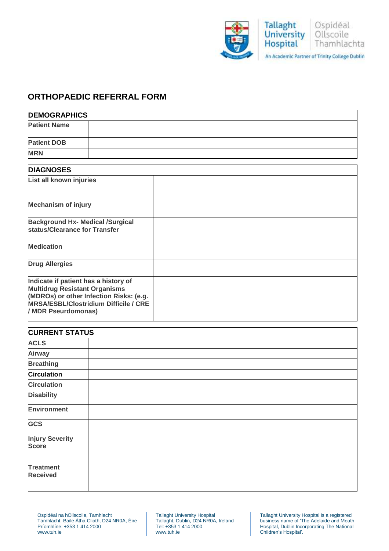

## **ORTHOPAEDIC REFERRAL FORM**

| <b>DEMOGRAPHICS</b>                                                                                                                                                                            |  |  |  |  |
|------------------------------------------------------------------------------------------------------------------------------------------------------------------------------------------------|--|--|--|--|
| <b>Patient Name</b>                                                                                                                                                                            |  |  |  |  |
| <b>Patient DOB</b>                                                                                                                                                                             |  |  |  |  |
| <b>MRN</b>                                                                                                                                                                                     |  |  |  |  |
| <b>DIAGNOSES</b>                                                                                                                                                                               |  |  |  |  |
| List all known injuries                                                                                                                                                                        |  |  |  |  |
| <b>Mechanism of injury</b>                                                                                                                                                                     |  |  |  |  |
| <b>Background Hx- Medical /Surgical</b><br>status/Clearance for Transfer                                                                                                                       |  |  |  |  |
| <b>Medication</b>                                                                                                                                                                              |  |  |  |  |
| <b>Drug Allergies</b>                                                                                                                                                                          |  |  |  |  |
| Indicate if patient has a history of<br><b>Multidrug Resistant Organisms</b><br>(MDROs) or other Infection Risks: (e.g.<br><b>MRSA/ESBL/Clostridium Difficile / CRE</b><br>/ MDR Pseurdomonas) |  |  |  |  |

| <b>CURRENT STATUS</b>                  |  |  |  |
|----------------------------------------|--|--|--|
| <b>ACLS</b>                            |  |  |  |
| <b>Airway</b>                          |  |  |  |
| <b>Breathing</b>                       |  |  |  |
| <b>Circulation</b>                     |  |  |  |
| <b>Circulation</b>                     |  |  |  |
| <b>Disability</b>                      |  |  |  |
| <b>Environment</b>                     |  |  |  |
| <b>GCS</b>                             |  |  |  |
| <b>Injury Severity</b><br><b>Score</b> |  |  |  |
| <b>Treatment</b><br><b>Received</b>    |  |  |  |

Tallaght University Hospital Tallaght, Dublin, D24 NR0A, Ireland Tel: +353 1 414 2000 www.tuh.ie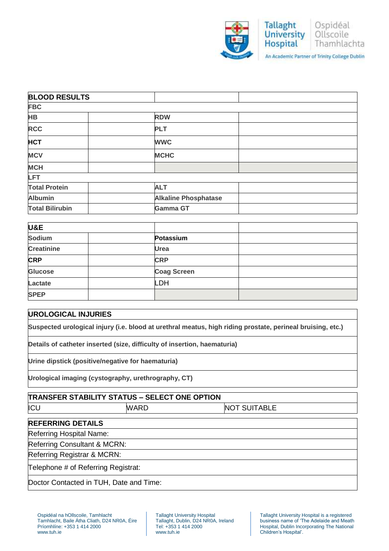

| <b>BLOOD RESULTS</b>   |                             |  |
|------------------------|-----------------------------|--|
| <b>FBC</b>             |                             |  |
| <b>HB</b>              | <b>RDW</b>                  |  |
| <b>RCC</b>             | <b>PLT</b>                  |  |
| <b>HCT</b>             | <b>WWC</b>                  |  |
| <b>MCV</b>             | <b>MCHC</b>                 |  |
| <b>MCH</b>             |                             |  |
| <b>LFT</b>             |                             |  |
| <b>Total Protein</b>   | <b>ALT</b>                  |  |
| <b>Albumin</b>         | <b>Alkaline Phosphatase</b> |  |
| <b>Total Bilirubin</b> | <b>Gamma GT</b>             |  |

| U&E               |                    |  |
|-------------------|--------------------|--|
| <b>Sodium</b>     | Potassium          |  |
| <b>Creatinine</b> | <b>Urea</b>        |  |
| <b>CRP</b>        | <b>CRP</b>         |  |
| <b>Glucose</b>    | <b>Coag Screen</b> |  |
| Lactate           | LDH                |  |
| <b>SPEP</b>       |                    |  |

## **UROLOGICAL INJURIES**

**Suspected urological injury (i.e. blood at urethral meatus, high riding prostate, perineal bruising, etc.)** 

**Details of catheter inserted (size, difficulty of insertion, haematuria)**

**Urine dipstick (positive/negative for haematuria)**

**Urological imaging (cystography, urethrography, CT)** 

| <b>TRANSFER STABILITY STATUS - SELECT ONE OPTION</b> |             |                     |  |  |  |
|------------------------------------------------------|-------------|---------------------|--|--|--|
| ICL                                                  | <b>WARD</b> | <b>NOT SUITABLE</b> |  |  |  |
|                                                      |             |                     |  |  |  |

## **REFERRING DETAILS**

Referring Hospital Name:

Referring Consultant & MCRN:

Referring Registrar & MCRN:

Telephone # of Referring Registrat:

Doctor Contacted in TUH, Date and Time: